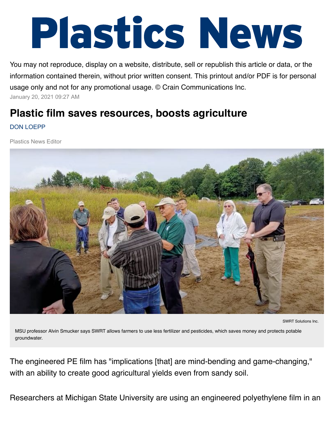## Plastics News

You may not reproduce, display on a website, distribute, sell or republish this article or data, or the information contained therein, without prior written consent. This printout and/or PDF is for personal usage only and not for any promotional usage. © Crain Communications Inc. January 20, 2021 09:27 AM

## **Plastic film saves resources, boosts agriculture** DON LOEPP

Plastics News Editor



```
SWRT Solutions Inc.
```
MSU professor Alvin Smucker says SWRT allows farmers to use less fertilizer and pesticides, which saves money and protects potable groundwater.

The engineered PE film has "implications [that] are mind-bending and game-changing," with an ability to create good agricultural yields even from sandy soil.

Researchers at Michigan State University are using an engineered polyethylene film in an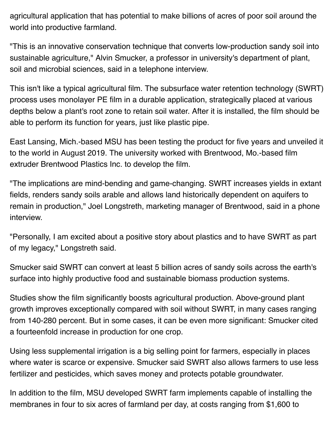agricultural application that has potential to make billions of acres of poor soil around the world into productive farmland.

"This is an innovative conservation technique that converts low-production sandy soil into sustainable agriculture," Alvin Smucker, a professor in university's department of plant, soil and microbial sciences, said in a telephone interview.

This isn't like a typical agricultural film. The subsurface water retention technology (SWRT) process uses monolayer PE film in a durable application, strategically placed at various depths below a plant's root zone to retain soil water. After it is installed, the film should be able to perform its function for years, just like plastic pipe.

East Lansing, Mich.-based MSU has been testing the product for five years and unveiled it to the world in August 2019. The university worked with Brentwood, Mo.-based film extruder Brentwood Plastics Inc. to develop the film.

"The implications are mind-bending and game-changing. SWRT increases yields in extant fields, renders sandy soils arable and allows land historically dependent on aquifers to remain in production," Joel Longstreth, marketing manager of Brentwood, said in a phone interview.

"Personally, I am excited about a positive story about plastics and to have SWRT as part of my legacy," Longstreth said.

Smucker said SWRT can convert at least 5 billion acres of sandy soils across the earth's surface into highly productive food and sustainable biomass production systems.

Studies show the film significantly boosts agricultural production. Above-ground plant growth improves exceptionally compared with soil without SWRT, in many cases ranging from 140-280 percent. But in some cases, it can be even more significant: Smucker cited a fourteenfold increase in production for one crop.

Using less supplemental irrigation is a big selling point for farmers, especially in places where water is scarce or expensive. Smucker said SWRT also allows farmers to use less fertilizer and pesticides, which saves money and protects potable groundwater.

In addition to the film, MSU developed SWRT farm implements capable of installing the membranes in four to six acres of farmland per day, at costs ranging from \$1,600 to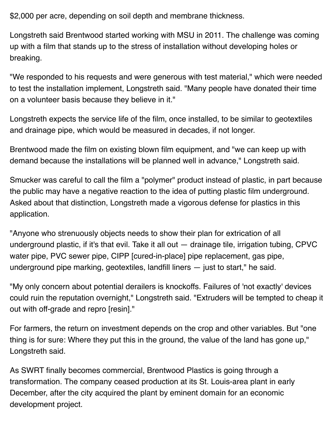\$2,000 per acre, depending on soil depth and membrane thickness.

Longstreth said Brentwood started working with MSU in 2011. The challenge was coming up with a film that stands up to the stress of installation without developing holes or breaking.

"We responded to his requests and were generous with test material," which were needed to test the installation implement, Longstreth said. "Many people have donated their time on a volunteer basis because they believe in it."

Longstreth expects the service life of the film, once installed, to be similar to geotextiles and drainage pipe, which would be measured in decades, if not longer.

Brentwood made the film on existing blown film equipment, and "we can keep up with demand because the installations will be planned well in advance," Longstreth said.

Smucker was careful to call the film a "polymer" product instead of plastic, in part because the public may have a negative reaction to the idea of putting plastic film underground. Asked about that distinction, Longstreth made a vigorous defense for plastics in this application.

"Anyone who strenuously objects needs to show their plan for extrication of all underground plastic, if it's that evil. Take it all out — drainage tile, irrigation tubing, CPVC water pipe, PVC sewer pipe, CIPP [cured-in-place] pipe replacement, gas pipe, underground pipe marking, geotextiles, landfill liners — just to start," he said.

"My only concern about potential derailers is knockoffs. Failures of 'not exactly' devices could ruin the reputation overnight," Longstreth said. "Extruders will be tempted to cheap it out with off-grade and repro [resin]."

For farmers, the return on investment depends on the crop and other variables. But "one thing is for sure: Where they put this in the ground, the value of the land has gone up," Longstreth said.

As SWRT finally becomes commercial, Brentwood Plastics is going through a transformation. The company ceased production at its St. Louis-area plant in early December, after the city acquired the plant by eminent domain for an economic development project.